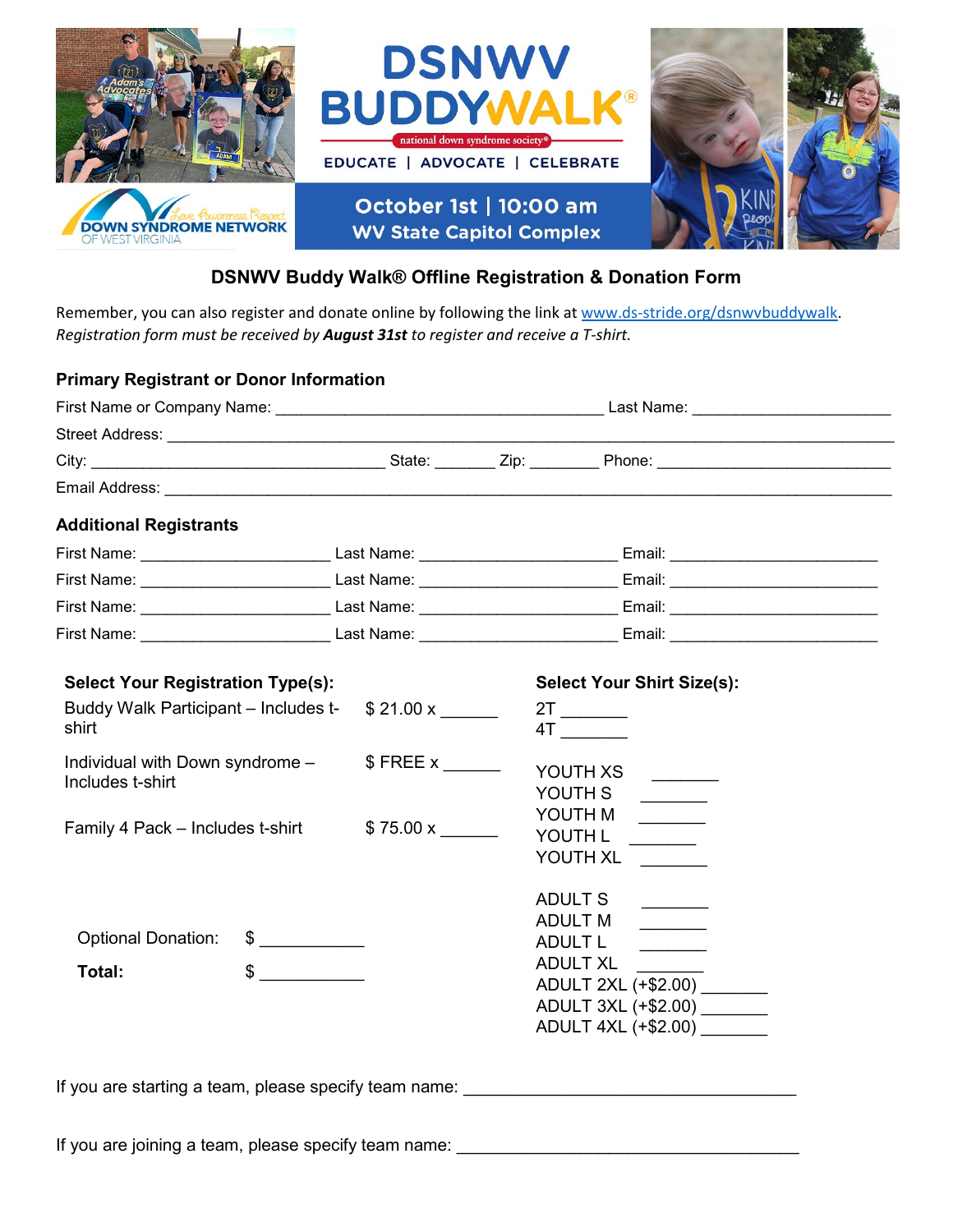

## **DSNWV Buddy Walk® Offline Registration & Donation Form**

Remember, you can also register and donate online by following the link a[t www.ds-stride.org/dsnwvbuddywalk.](http://www.ds-stride.org/dsnwvbuddywalk) *Registration form must be received by August 31st to register and receive a T-shirt.*

## **Primary Registrant or Donor Information**

|                                                                                                                                                                                                                                                               |                                | Last Name: __________________________                                                                                                                                                                                                                                                                                                                                                                                                                                                                                                                                                                                                                                                                                                                                                                                                                                                                  |
|---------------------------------------------------------------------------------------------------------------------------------------------------------------------------------------------------------------------------------------------------------------|--------------------------------|--------------------------------------------------------------------------------------------------------------------------------------------------------------------------------------------------------------------------------------------------------------------------------------------------------------------------------------------------------------------------------------------------------------------------------------------------------------------------------------------------------------------------------------------------------------------------------------------------------------------------------------------------------------------------------------------------------------------------------------------------------------------------------------------------------------------------------------------------------------------------------------------------------|
|                                                                                                                                                                                                                                                               |                                |                                                                                                                                                                                                                                                                                                                                                                                                                                                                                                                                                                                                                                                                                                                                                                                                                                                                                                        |
|                                                                                                                                                                                                                                                               |                                |                                                                                                                                                                                                                                                                                                                                                                                                                                                                                                                                                                                                                                                                                                                                                                                                                                                                                                        |
|                                                                                                                                                                                                                                                               |                                |                                                                                                                                                                                                                                                                                                                                                                                                                                                                                                                                                                                                                                                                                                                                                                                                                                                                                                        |
| <b>Additional Registrants</b>                                                                                                                                                                                                                                 |                                |                                                                                                                                                                                                                                                                                                                                                                                                                                                                                                                                                                                                                                                                                                                                                                                                                                                                                                        |
|                                                                                                                                                                                                                                                               |                                |                                                                                                                                                                                                                                                                                                                                                                                                                                                                                                                                                                                                                                                                                                                                                                                                                                                                                                        |
|                                                                                                                                                                                                                                                               |                                |                                                                                                                                                                                                                                                                                                                                                                                                                                                                                                                                                                                                                                                                                                                                                                                                                                                                                                        |
|                                                                                                                                                                                                                                                               |                                | First Name: _____________________________Last Name: _____________________________Email: ______________________                                                                                                                                                                                                                                                                                                                                                                                                                                                                                                                                                                                                                                                                                                                                                                                         |
|                                                                                                                                                                                                                                                               |                                |                                                                                                                                                                                                                                                                                                                                                                                                                                                                                                                                                                                                                                                                                                                                                                                                                                                                                                        |
| <b>Select Your Registration Type(s):</b><br>Buddy Walk Participant - Includes t-<br>shirt<br>Individual with Down syndrome -<br>Includes t-shirt<br>Family 4 Pack - Includes t-shirt<br><b>Optional Donation:</b><br>$\sim$<br>$\frac{1}{\sqrt{2}}$<br>Total: | \$21.00 x<br>$$$ FREE x ______ | <b>Select Your Shirt Size(s):</b><br>4T and the set of the set of the set of the set of the set of the set of the set of the set of the set of the set of the set of the set of the set of the set of the set of the set of the set of the set of the set of the se<br>YOUTH XS<br>YOUTH S<br>YOUTH M<br>$\begin{tabular}{ccccc} \multicolumn{2}{c }{\textbf{1} & \textbf{2} & \textbf{3} & \textbf{4} & \textbf{5} & \textbf{5} & \textbf{6} & \textbf{7} & \textbf{8} & \textbf{9} & \textbf{10} & \textbf{10} & \textbf{10} & \textbf{10} & \textbf{10} & \textbf{10} & \textbf{10} & \textbf{10} & \textbf{10} & \textbf{10} & \textbf{10} & \textbf{10} & \textbf{10} & \textbf{10} & \textbf{10} & \textbf{10} & \textbf$<br>YOUTH L<br>YOUTH XL<br>ADULT S<br><b>ADULT M</b><br>ADULT L<br><b>ADULT XL</b><br>ADULT 2XL (+\$2.00)<br>ADULT 3XL (+\$2.00) _______<br>ADULT 4XL (+\$2.00) _______ |

If you are starting a team, please specify team name:

If you are joining a team, please specify team name: \_\_\_\_\_\_\_\_\_\_\_\_\_\_\_\_\_\_\_\_\_\_\_\_\_\_\_